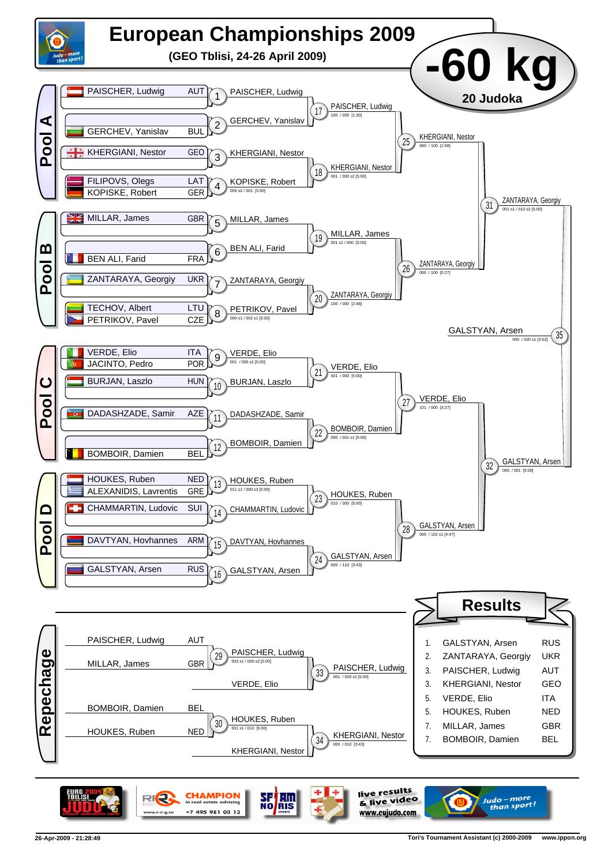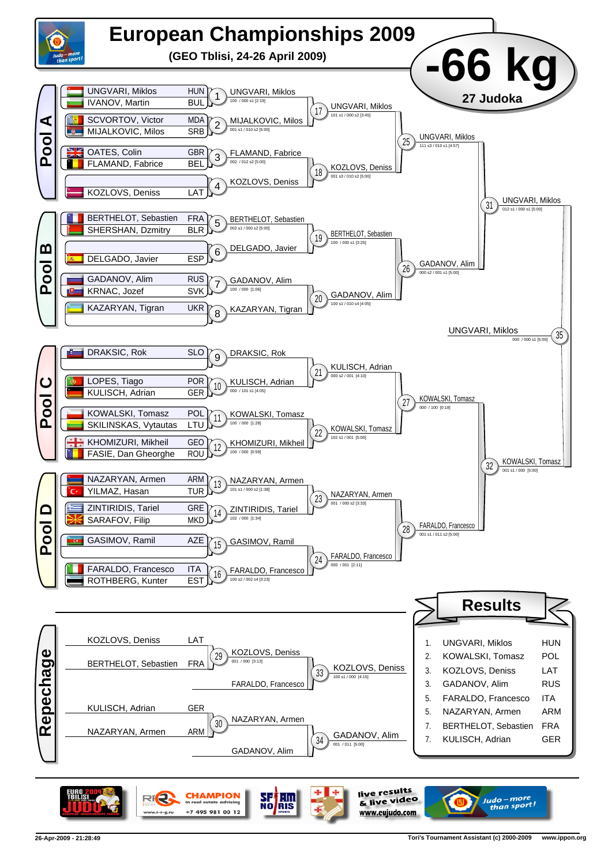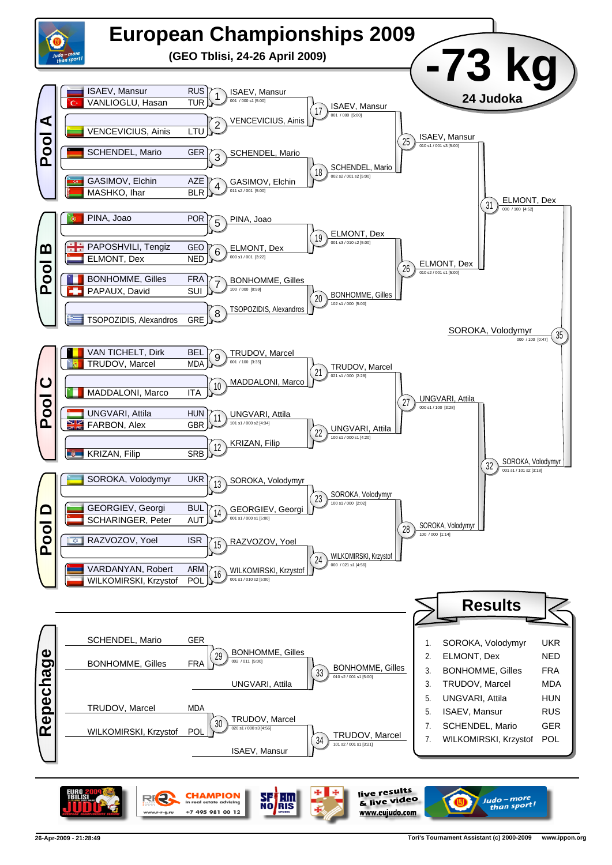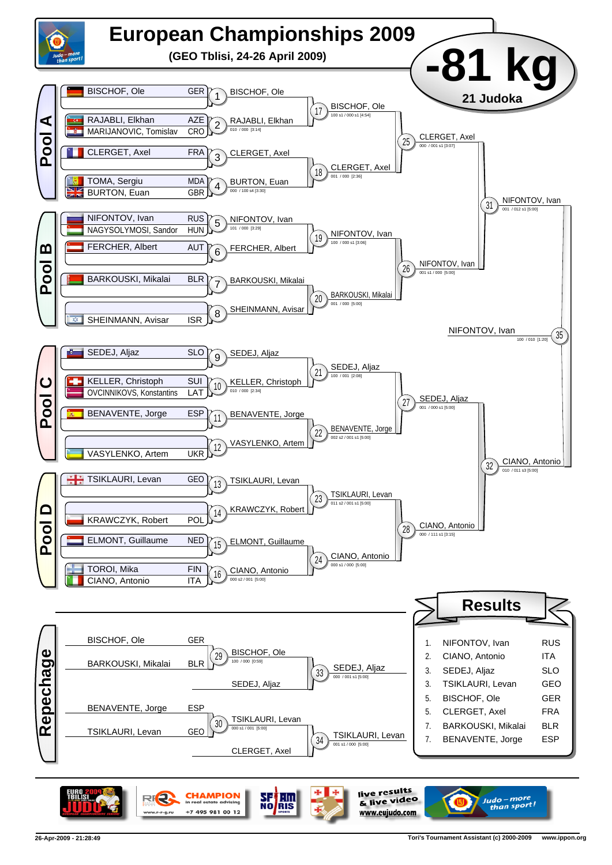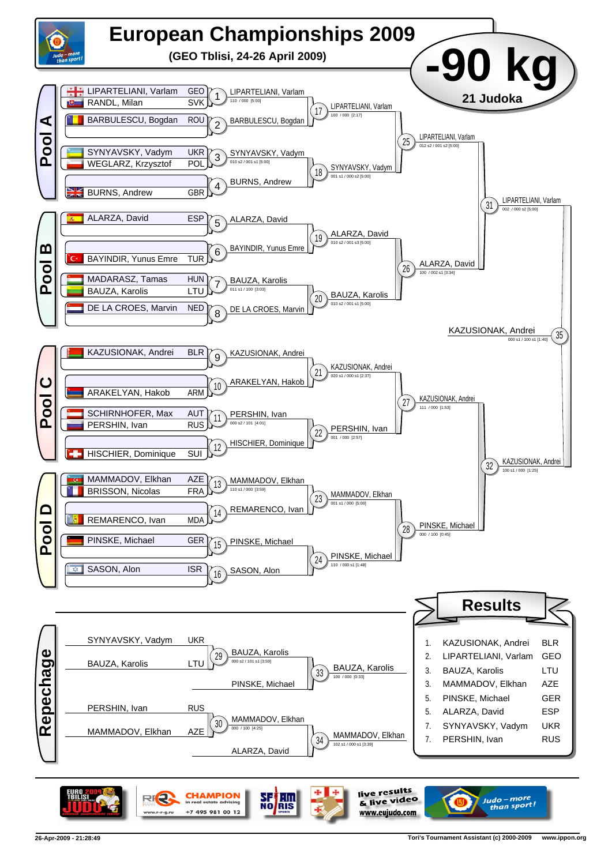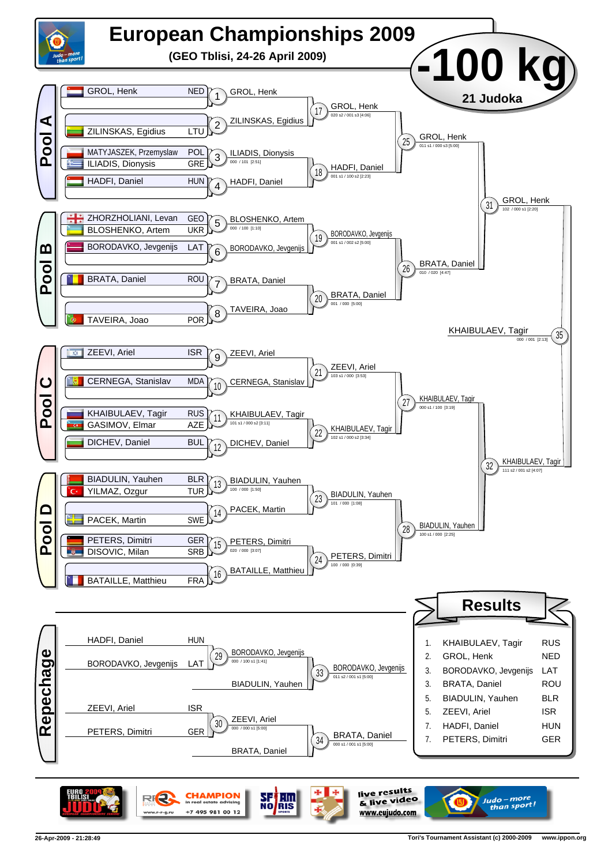